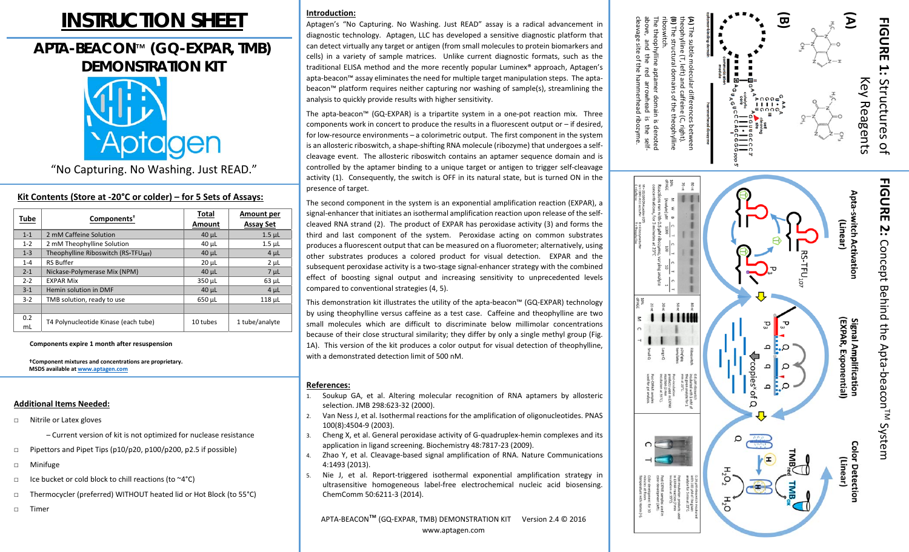# **INSTRUCTION SHEET**

# **APTA-BEACON**™ **(GQ-EXPAR, TMB) DEMONSTRATION KIT**



"No Capturing. No Washing. Just READ."

# **Kit Contents (Store at ‐20°C or colder) – for 5 Sets of Assays:**

| Tube      | Components <sup>†</sup>                          | Total<br>Amount | Amount per<br><b>Assay Set</b> |
|-----------|--------------------------------------------------|-----------------|--------------------------------|
| $1 - 1$   | 2 mM Caffeine Solution                           | $40 \mu L$      | $1.5$ $\mu$ L                  |
| $1 - 2$   | 2 mM Theophylline Solution                       | $40 \mu L$      | $1.5$ $\mu$ L                  |
| $1 - 3$   | Theophylline Riboswitch (RS-TFU <sub>107</sub> ) | $40 \mu L$      | $4 \mu L$                      |
| $1 - 4$   | <b>RS Buffer</b>                                 | $20 \mu L$      | $2 \mu L$                      |
| $2 - 1$   | Nickase-Polymerase Mix (NPM)                     | $40 \mu L$      | $7 \mu L$                      |
| $2 - 2$   | <b>EXPAR Mix</b>                                 | 350 µL          | $63$ $\mu$ L                   |
| $3 - 1$   | Hemin solution in DMF                            | $40 \mu L$      | $4 \mu L$                      |
| $3 - 2$   | TMB solution, ready to use                       | 650 µL          | 118 µL                         |
|           |                                                  |                 |                                |
| 0.2<br>mL | T4 Polynucleotide Kinase (each tube)             | 10 tubes        | 1 tube/analyte                 |

**Components expire 1 month after resuspension** 

**†Component mixtures and concentrations are proprietary. MSDS available at www.aptagen.com**

# **Additional Items Needed:**

- □ Nitrile or Latex gloves
	- Current version of kit is not optimized for nuclease resistance
- □Pipettors and Pipet Tips (p10/p20, p100/p200, p2.5 if possible)
- □Minifuge
- □Ice bucket or cold block to chill reactions (to ~4°C)
- □Thermocycler (preferred) WITHOUT heated lid or Hot Block (to 55°C)
- □Timer

# **Introduction:**

Aptagen's "No Capturing. No Washing. Just READ" assay is <sup>a</sup> radical advancement in diagnostic technology. Aptagen, LLC has developed a sensitive diagnostic platform that can detect virtually any target or antigen (from small molecules to protein biomarkers and cells) in a variety of sample matrices. Unlike current diagnostic formats, such as the traditional ELISA method and the more recently popular Luminex® approach, Aptagen's apta-beacon™ assay eliminates the need for multiple target manipulation steps. The aptabeacon™ platform requires neither capturing nor washing of sample(s), streamlining the analysis to quickly provide results with higher sensitivity.

The apta-beacon™ (GQ-EXPAR) is a tripartite system in a one-pot reaction mix. Three components work in concert to produce the results in a fluorescent output or – if desired, for low-resource environments – a colorimetric output. The first component in the system is an allosteric riboswitch, a shape-shifting RNA molecule (ribozyme) that undergoes a selfcleavage event. The allosteric riboswitch contains an aptamer sequence domain and is controlled by the aptamer binding to a unique target or antigen to trigger self-cleavage activity (1). Consequently, the switch is OFF in its natural state, but is turned ON in the presence of target.

The second component in the system is an exponential amplification reaction (EXPAR), a signal-enhancer that initiates an isothermal amplification reaction upon release of the selfcleaved RNA strand (2). The product of EXPAR has peroxidase activity (3) and forms the third and last component of the system. Peroxidase acting on common substrates produces a fluorescent output that can be measured on a fluorometer; alternatively, using other substrates produces <sup>a</sup> colored product for visual detection. EXPAR and the subsequent peroxidase activity is a two-stage signal-enhancer strategy with the combined effect of boosting signal output and increasing sensitivity to unprecedented levels compared to conventional strategies (4, 5).

This demonstration kit illustrates the utility of the apta‐beacon™ (GQ‐EXPAR) technology by using theophylline versus caffeine as a test case. Caffeine and theophylline are two small molecules which are difficult to discriminate below millimolar concentrations because of their close structural similarity; they differ by only a single methyl group (Fig. 1A). This version of the kit produces a color output for visual detection of theophylline, with a demonstrated detection limit of 500 nM.

## **References:**

- 1. Soukup GA, et al. Altering molecular recognition of RNA aptamers by allosteric selection. JMB 298:623‐32 (2000).
- 2. Van Ness J, et al. Isothermal reactions for the amplification of oligonucleotides. PNAS 100(8):4504‐9 (2003).
- 3. Cheng X, et al. General peroxidase activity of G‐quadruplex‐hemin complexes and its application in ligand screening. Biochemistry 48:7817‐23 (2009).
- 4.Zhao Y, et al. Cleavage-based signal amplification of RNA. Nature Communications 4:1493 (2013).
- 5.Nie J, et al. Report-triggered isothermal exponential amplification strategy in ultrasensitive homogeneous label-free electrochemical nucleic acid biosensing. ChemComm 50:6211‐3 (2014).

APTA‐BEACON™ (GQ‐EXPAR, TMB) DEMONSTRATION KIT Version 2.4 © 2016 www.aptagen.com



cleavage site of the h

ammerhead ribozyme.

above, and the red arrowhead is the self‐